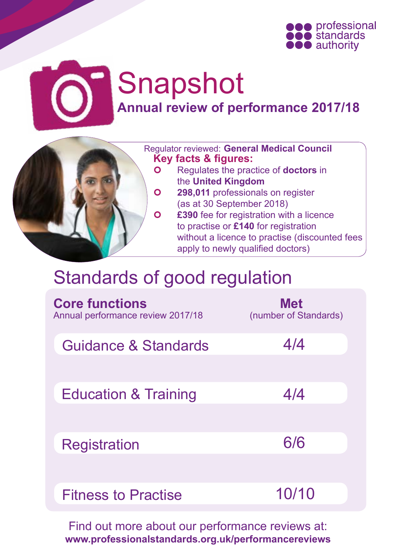

# Snapshot **Annual review of performance 2017/18**



# Standards of good regulation

| <b>Core functions</b><br>Annual performance review 2017/18 | <b>Met</b><br>(number of Standards) |
|------------------------------------------------------------|-------------------------------------|
| <b>Guidance &amp; Standards</b>                            | 4/4                                 |
| <b>Education &amp; Training</b>                            | 4/4                                 |
| <b>Registration</b>                                        | 6/6                                 |
| <b>Fitness to Practise</b>                                 | 10/10                               |

Find out more about our performance reviews at: **[www.professionalstandards.org.uk/performancereviews](http://www.professionalstandards.org.uk/performancereviews)**